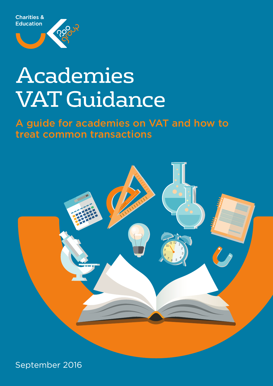



# Academies **VAT Guidance**

**A guide for academies on VAT and how to treat common transactions**



September 2016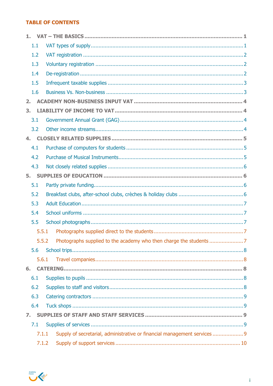## **TABLE OF CONTENTS**

| 1.1 |       |                                                                           |
|-----|-------|---------------------------------------------------------------------------|
| 1.2 |       |                                                                           |
| 1.3 |       |                                                                           |
| 1.4 |       |                                                                           |
| 1.5 |       |                                                                           |
| 1.6 |       |                                                                           |
| 2.  |       |                                                                           |
| 3.  |       |                                                                           |
| 3.1 |       |                                                                           |
| 3.2 |       |                                                                           |
| 4.  |       |                                                                           |
| 4.1 |       |                                                                           |
| 4.2 |       |                                                                           |
| 4.3 |       |                                                                           |
| 5.  |       |                                                                           |
| 5.1 |       |                                                                           |
| 5.2 |       |                                                                           |
| 5.3 |       |                                                                           |
| 5.4 |       |                                                                           |
| 5.5 |       |                                                                           |
|     | 5.5.1 |                                                                           |
|     | 5.5.2 |                                                                           |
| 5.6 |       |                                                                           |
|     | 5.6.1 |                                                                           |
| 6.  |       |                                                                           |
| 6.1 |       |                                                                           |
| 6.2 |       |                                                                           |
| 6.3 |       |                                                                           |
| 6.4 |       |                                                                           |
| 7.  |       |                                                                           |
| 7.1 |       |                                                                           |
|     | 7.1.1 | Supply of secretarial, administrative or financial management services  9 |
|     | 7.1.2 |                                                                           |

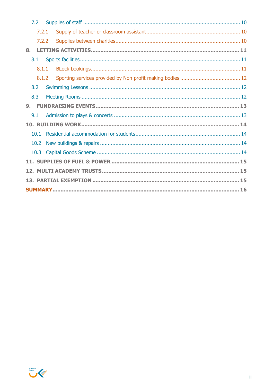|    | 7.2   |  |  |  |  |  |  |
|----|-------|--|--|--|--|--|--|
|    | 7.2.1 |  |  |  |  |  |  |
|    | 7.2.2 |  |  |  |  |  |  |
| 8. |       |  |  |  |  |  |  |
|    | 8.1   |  |  |  |  |  |  |
|    | 8.1.1 |  |  |  |  |  |  |
|    | 8.1.2 |  |  |  |  |  |  |
|    | 8.2   |  |  |  |  |  |  |
|    | 8.3   |  |  |  |  |  |  |
| 9. |       |  |  |  |  |  |  |
|    | 9.1   |  |  |  |  |  |  |
|    |       |  |  |  |  |  |  |
|    | 10.1  |  |  |  |  |  |  |
|    | 10.2  |  |  |  |  |  |  |
|    |       |  |  |  |  |  |  |
|    |       |  |  |  |  |  |  |
|    |       |  |  |  |  |  |  |
|    |       |  |  |  |  |  |  |
|    |       |  |  |  |  |  |  |

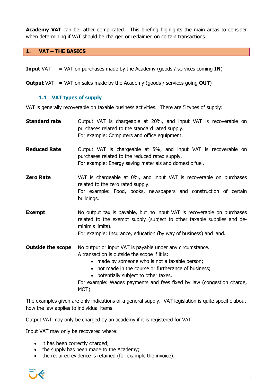**Academy VAT** can be rather complicated. This briefing highlights the main areas to consider when determining if VAT should be charged or reclaimed on certain transactions.

#### **1. VAT – THE BASICS**

- **Input** VAT = VAT on purchases made by the Academy (goods / services coming **IN**)
- **Output** VAT = VAT on sales made by the Academy (goods / services going **OUT**)

#### **1.1 VAT types of supply**

VAT is generally recoverable on taxable business activities. There are 5 types of supply:

**Standard rate** Output VAT is chargeable at 20%, and input VAT is recoverable on purchases related to the standard rated supply. For example: Computers and office equipment. **Reduced Rate** Output VAT is chargeable at 5%, and input VAT is recoverable on purchases related to the reduced rated supply. For example: Energy saving materials and domestic fuel. **Zero Rate** VAT is chargeable at 0%, and input VAT is recoverable on purchases related to the zero rated supply. For example: Food, books, newspapers and construction of certain buildings. **Exempt** No output tax is payable, but no input VAT is recoverable on purchases related to the exempt supply (subject to other taxable supplies and deminimis limits). For example: Insurance, education (by way of business) and land. **Outside the scope** No output or input VAT is payable under any circumstance. A transaction is outside the scope if it is: • made by someone who is not a taxable person; • not made in the course or furtherance of business; • potentially subject to other taxes. For example: Wages payments and fees fixed by law (congestion charge,

MOT).

The examples given are only indications of a general supply. VAT legislation is quite specific about how the law applies to individual items.

Output VAT may only be charged by an academy if it is registered for VAT.

Input VAT may only be recovered where:

- it has been correctly charged:
- the supply has been made to the Academy;
- the required evidence is retained (for example the invoice).

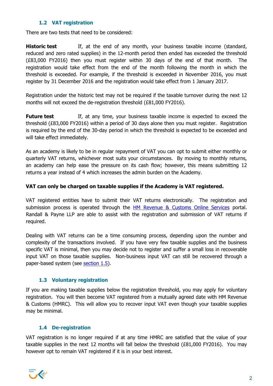## **1.2 VAT registration**

There are two tests that need to be considered:

**Historic test** If, at the end of any month, your business taxable income (standard, reduced and zero rated supplies) in the 12-month period then ended has exceeded the threshold (£83,000 FY2016) then you must register within 30 days of the end of that month. The registration would take effect from the end of the month following the month in which the threshold is exceeded. For example, if the threshold is exceeded in November 2016, you must register by 31 December 2016 and the registration would take effect from 1 January 2017.

Registration under the historic test may not be required if the taxable turnover during the next 12 months will not exceed the de-registration threshold (£81,000 FY2016).

**Future test** If, at any time, your business taxable income is expected to exceed the threshold (£83,000 FY2016) within a period of 30 days alone then you must register. Registration is required by the end of the 30-day period in which the threshold is expected to be exceeded and will take effect immediately.

As an academy is likely to be in regular repayment of VAT you can opt to submit either monthly or quarterly VAT returns, whichever most suits your circumstances. By moving to monthly returns, an academy can help ease the pressure on its cash flow; however, this means submitting 12 returns a year instead of 4 which increases the admin burden on the Academy.

## **VAT can only be charged on taxable supplies if the Academy is VAT registered.**

VAT registered entities have to submit their VAT returns electronically. The registration and submission process is operated through the **HM Revenue & Customs Online Services** portal. Randall & Payne LLP are able to assist with the registration and submission of VAT returns if required.

Dealing with VAT returns can be a time consuming process, depending upon the number and complexity of the transactions involved. If you have very few taxable supplies and the business specific VAT is minimal, then you may decide not to register and suffer a small loss in recoverable input VAT on those taxable supplies. Non-business input VAT can still be recovered through a paper-based system (see section 1.5).

## **1.3 Voluntary registration**

If you are making taxable supplies below the registration threshold, you may apply for voluntary registration. You will then become VAT registered from a mutually agreed date with HM Revenue & Customs (HMRC). This will allow you to recover input VAT even though your taxable supplies may be minimal.

## **1.4 De-registration**

VAT registration is no longer required if at any time HMRC are satisfied that the value of your taxable supplies in the next 12 months will fall below the threshold (£81,000 FY2016). You may however opt to remain VAT registered if it is in your best interest.

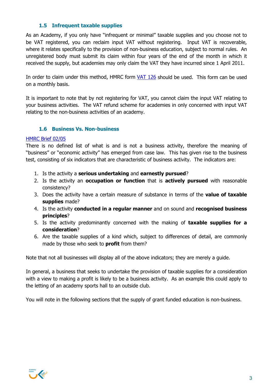## **1.5 Infrequent taxable supplies**

As an Academy, if you only have "infrequent or minimal" taxable supplies and you choose not to be VAT registered, you can reclaim input VAT without registering. Input VAT is recoverable, where it relates specifically to the provision of non-business education, subject to normal rules. An unregistered body must submit its claim within four years of the end of the month in which it received the supply, but academies may only claim the VAT they have incurred since 1 April 2011.

In order to claim under this method, HMRC form VAT 126 should be used. This form can be used on a monthly basis.

It is important to note that by not registering for VAT, you cannot claim the input VAT relating to your business activities. The VAT refund scheme for academies in only concerned with input VAT relating to the non-business activities of an academy.

#### **1.6 Business Vs. Non-business**

#### HMRC Brief 02/05

There is no defined list of what is and is not a business activity, therefore the meaning of "business" or "economic activity" has emerged from case law. This has given rise to the business test, consisting of six indicators that are characteristic of business activity. The indicators are:

- 1. Is the activity a **serious undertaking** and **earnestly pursued**?
- 2. Is the activity an **occupation or function** that is **actively pursued** with reasonable consistency?
- 3. Does the activity have a certain measure of substance in terms of the **value of taxable supplies** made?
- 4. Is the activity **conducted in a regular manner** and on sound and **recognised business principles**?
- 5. Is the activity predominantly concerned with the making of **taxable supplies for a consideration**?
- 6. Are the taxable supplies of a kind which, subject to differences of detail, are commonly made by those who seek to **profit** from them?

Note that not all businesses will display all of the above indicators; they are merely a guide.

In general, a business that seeks to undertake the provision of taxable supplies for a consideration with a view to making a profit is likely to be a business activity. As an example this could apply to the letting of an academy sports hall to an outside club.

You will note in the following sections that the supply of grant funded education is non-business.

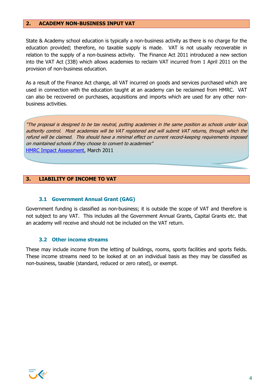#### **2. ACADEMY NON-BUSINESS INPUT VAT**

State & Academy school education is typically a non-business activity as there is no charge for the education provided; therefore, no taxable supply is made. VAT is not usually recoverable in relation to the supply of a non-business activity. The Finance Act 2011 introduced a new section into the VAT Act (33B) which allows academies to reclaim VAT incurred from 1 April 2011 on the provision of non-business education.

As a result of the Finance Act change, all VAT incurred on goods and services purchased which are used in connection with the education taught at an academy can be reclaimed from HMRC. VAT can also be recovered on purchases, acquisitions and imports which are used for any other nonbusiness activities.

"The proposal is designed to be tax neutral, putting academies in the same position as schools under local authority control. Most academies will be VAT registered and will submit VAT returns, through which the refund will be claimed. This should have a minimal effect on current record-keeping requirements imposed on maintained schools if they choose to convert to academies" HMRC Impact Assessment, March 2011

#### **3. LIABILITY OF INCOME TO VAT**

#### **3.1 Government Annual Grant (GAG)**

Government funding is classified as non-business; it is outside the scope of VAT and therefore is not subject to any VAT. This includes all the Government Annual Grants, Capital Grants etc. that an academy will receive and should not be included on the VAT return.

#### **3.2 Other income streams**

These may include income from the letting of buildings, rooms, sports facilities and sports fields. These income streams need to be looked at on an individual basis as they may be classified as non-business, taxable (standard, reduced or zero rated), or exempt.

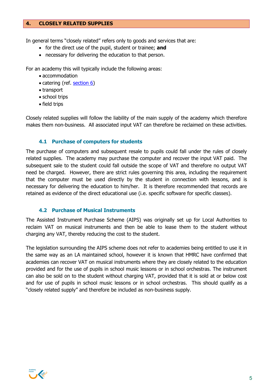#### **4. CLOSELY RELATED SUPPLIES**

In general terms "closely related" refers only to goods and services that are:

- for the direct use of the pupil, student or trainee; **and**
- necessary for delivering the education to that person.

For an academy this will typically include the following areas:

- accommodation
- catering (ref. section 6)
- transport
- school trips
- field trips

Closely related supplies will follow the liability of the main supply of the academy which therefore makes them non-business. All associated input VAT can therefore be reclaimed on these activities.

#### **4.1 Purchase of computers for students**

The purchase of computers and subsequent resale to pupils could fall under the rules of closely related supplies. The academy may purchase the computer and recover the input VAT paid. The subsequent sale to the student could fall outside the scope of VAT and therefore no output VAT need be charged. However, there are strict rules governing this area, including the requirement that the computer must be used directly by the student in connection with lessons, and is necessary for delivering the education to him/her. It is therefore recommended that records are retained as evidence of the direct educational use (i.e. specific software for specific classes).

#### **4.2 Purchase of Musical Instruments**

The Assisted Instrument Purchase Scheme (AIPS) was originally set up for Local Authorities to reclaim VAT on musical instruments and then be able to lease them to the student without charging any VAT, thereby reducing the cost to the student.

The legislation surrounding the AIPS scheme does not refer to academies being entitled to use it in the same way as an LA maintained school, however it is known that HMRC have confirmed that academies can recover VAT on musical instruments where they are closely related to the education provided and for the use of pupils in school music lessons or in school orchestras. The instrument can also be sold on to the student without charging VAT, provided that it is sold at or below cost and for use of pupils in school music lessons or in school orchestras. This should qualify as a "closely related supply" and therefore be included as non-business supply.

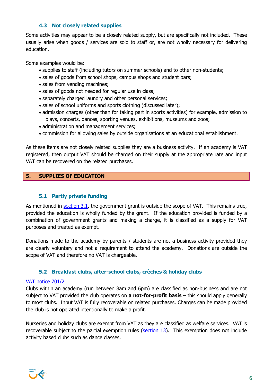## **4.3 Not closely related supplies**

Some activities may appear to be a closely related supply, but are specifically not included. These usually arise when goods / services are sold to staff or, are not wholly necessary for delivering education.

Some examples would be:

- supplies to staff (including tutors on summer schools) and to other non-students;
- sales of goods from school shops, campus shops and student bars;
- sales from vending machines:
- sales of goods not needed for regular use in class;
- separately charged laundry and other personal services;
- sales of school uniforms and sports clothing (discussed later);
- admission charges (other than for taking part in sports activities) for example, admission to plays, concerts, dances, sporting venues, exhibitions, museums and zoos;
- administration and management services;
- commission for allowing sales by outside organisations at an educational establishment.

As these items are not closely related supplies they are a business activity. If an academy is VAT registered, then output VAT should be charged on their supply at the appropriate rate and input VAT can be recovered on the related purchases.

## **5. SUPPLIES OF EDUCATION**

## **5.1 Partly private funding**

As mentioned in section 3.1, the government grant is outside the scope of VAT. This remains true, provided the education is wholly funded by the grant. If the education provided is funded by a combination of government grants and making a charge, it is classified as a supply for VAT purposes and treated as exempt.

Donations made to the academy by parents / students are not a business activity provided they are clearly voluntary and not a requirement to attend the academy. Donations are outside the scope of VAT and therefore no VAT is chargeable.

## **5.2 Breakfast clubs, after-school clubs, crèches & holiday clubs**

## VAT notice 701/2

Clubs within an academy (run between 8am and 6pm) are classified as non-business and are not subject to VAT provided the club operates on **a not-for-profit basis** – this should apply generally to most clubs. Input VAT is fully recoverable on related purchases. Charges can be made provided the club is not operated intentionally to make a profit.

Nurseries and holiday clubs are exempt from VAT as they are classified as welfare services. VAT is recoverable subject to the partial exemption rules (section 13). This exemption does not include activity based clubs such as dance classes.

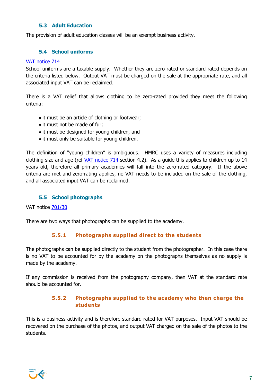## **5.3 Adult Education**

The provision of adult education classes will be an exempt business activity.

## **5.4 School uniforms**

#### VAT notice 714

School uniforms are a taxable supply. Whether they are zero rated or standard rated depends on the criteria listed below. Output VAT must be charged on the sale at the appropriate rate, and all associated input VAT can be reclaimed.

There is a VAT relief that allows clothing to be zero-rated provided they meet the following criteria:

- it must be an article of clothing or footwear;
- it must not be made of fur;
- it must be designed for young children, and
- it must only be suitable for young children.

The definition of "young children" is ambiguous. HMRC uses a variety of measures including clothing size and age (ref VAT notice 714 section 4.2). As a guide this applies to children up to 14 years old, therefore all primary academies will fall into the zero-rated category. If the above criteria are met and zero-rating applies, no VAT needs to be included on the sale of the clothing, and all associated input VAT can be reclaimed.

## **5.5 School photographs**

VAT notice 701/30

There are two ways that photographs can be supplied to the academy.

## **5.5.1 Photographs supplied direct to the students**

The photographs can be supplied directly to the student from the photographer. In this case there is no VAT to be accounted for by the academy on the photographs themselves as no supply is made by the academy.

If any commission is received from the photography company, then VAT at the standard rate should be accounted for.

## **5.5.2 Photographs supplied to the academy who then charge the students**

This is a business activity and is therefore standard rated for VAT purposes. Input VAT should be recovered on the purchase of the photos, and output VAT charged on the sale of the photos to the students.

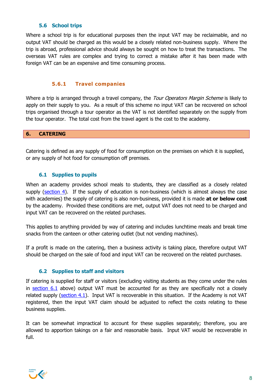## **5.6 School trips**

Where a school trip is for educational purposes then the input VAT may be reclaimable, and no output VAT should be charged as this would be a closely related non-business supply. Where the trip is abroad, professional advice should always be sought on how to treat the transactions. The overseas VAT rules are complex and trying to correct a mistake after it has been made with foreign VAT can be an expensive and time consuming process.

## **5.6.1 Travel companies**

Where a trip is arranged through a travel company, the Tour Operators Margin Scheme is likely to apply on their supply to you. As a result of this scheme no input VAT can be recovered on school trips organised through a tour operator as the VAT is not identified separately on the supply from the tour operator. The total cost from the travel agent is the cost to the academy.

#### **6. CATERING**

Catering is defined as any supply of food for consumption on the premises on which it is supplied, or any supply of hot food for consumption off premises.

#### **6.1 Supplies to pupils**

When an academy provides school meals to students, they are classified as a closely related supply (section 4). If the supply of education is non-business (which is almost always the case with academies) the supply of catering is also non-business, provided it is made **at or below cost** by the academy. Provided these conditions are met, output VAT does not need to be charged and input VAT can be recovered on the related purchases.

This applies to anything provided by way of catering and includes lunchtime meals and break time snacks from the canteen or other catering outlet (but not vending machines).

If a profit is made on the catering, then a business activity is taking place, therefore output VAT should be charged on the sale of food and input VAT can be recovered on the related purchases.

## **6.2 Supplies to staff and visitors**

If catering is supplied for staff or visitors (excluding visiting students as they come under the rules in section 6.1 above) output VAT must be accounted for as they are specifically not a closely related supply (section 4.1). Input VAT is recoverable in this situation. If the Academy is not VAT registered, then the input VAT claim should be adjusted to reflect the costs relating to these business supplies.

It can be somewhat impractical to account for these supplies separately; therefore, you are allowed to apportion takings on a fair and reasonable basis. Input VAT would be recoverable in full.

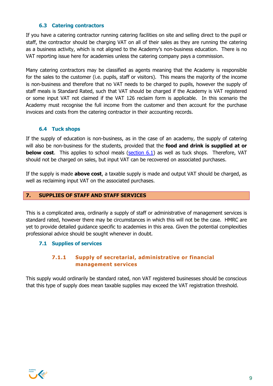### **6.3 Catering contractors**

If you have a catering contractor running catering facilities on site and selling direct to the pupil or staff, the contractor should be charging VAT on all of their sales as they are running the catering as a business activity, which is not aligned to the Academy's non-business education. There is no VAT reporting issue here for academies unless the catering company pays a commission.

Many catering contractors may be classified as agents meaning that the Academy is responsible for the sales to the customer (i.e. pupils, staff or visitors). This means the majority of the income is non-business and therefore that no VAT needs to be charged to pupils, however the supply of staff meals is Standard Rated, such that VAT should be charged if the Academy is VAT registered or some input VAT not claimed if the VAT 126 reclaim form is applicable. In this scenario the Academy must recognise the full income from the customer and then account for the purchase invoices and costs from the catering contractor in their accounting records.

#### **6.4 Tuck shops**

If the supply of education is non-business, as in the case of an academy, the supply of catering will also be non-business for the students, provided that the **food and drink is supplied at or below cost**. This applies to school meals (section 6.1) as well as tuck shops. Therefore, VAT should not be charged on sales, but input VAT can be recovered on associated purchases.

If the supply is made **above cost**, a taxable supply is made and output VAT should be charged, as well as reclaiming input VAT on the associated purchases.

#### **7. SUPPLIES OF STAFF AND STAFF SERVICES**

This is a complicated area, ordinarily a supply of staff or administrative of management services is standard rated, however there may be circumstances in which this will not be the case. HMRC are yet to provide detailed guidance specific to academies in this area. Given the potential complexities professional advice should be sought whenever in doubt.

#### **7.1 Supplies of services**

## **7.1.1 Supply of secretarial, administrative or financial management services**

This supply would ordinarily be standard rated, non VAT registered businesses should be conscious that this type of supply does mean taxable supplies may exceed the VAT registration threshold.

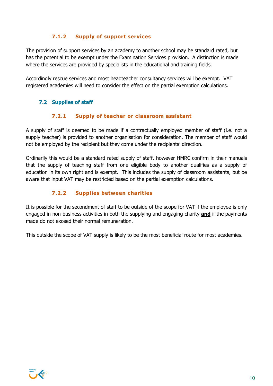## **7.1.2 Supply of support services**

The provision of support services by an academy to another school may be standard rated, but has the potential to be exempt under the Examination Services provision. A distinction is made where the services are provided by specialists in the educational and training fields.

Accordingly rescue services and most headteacher consultancy services will be exempt. VAT registered academies will need to consider the effect on the partial exemption calculations.

## **7.2 Supplies of staff**

## **7.2.1 Supply of teacher or classroom assistant**

A supply of staff is deemed to be made if a contractually employed member of staff (i.e. not a supply teacher) is provided to another organisation for consideration. The member of staff would not be employed by the recipient but they come under the recipients' direction.

Ordinarily this would be a standard rated supply of staff, however HMRC confirm in their manuals that the supply of teaching staff from one eligible body to another qualifies as a supply of education in its own right and is exempt. This includes the supply of classroom assistants, but be aware that input VAT may be restricted based on the partial exemption calculations.

## **7.2.2 Supplies between charities**

It is possible for the secondment of staff to be outside of the scope for VAT if the employee is only engaged in non-business activities in both the supplying and engaging charity **and** if the payments made do not exceed their normal remuneration.

This outside the scope of VAT supply is likely to be the most beneficial route for most academies.

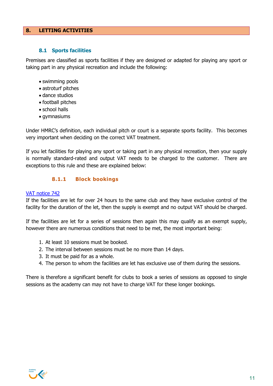#### **8. LETTING ACTIVITIES**

#### **8.1 Sports facilities**

Premises are classified as sports facilities if they are designed or adapted for playing any sport or taking part in any physical recreation and include the following:

- swimming pools
- astroturf pitches
- dance studios
- football pitches
- school halls
- gymnasiums

Under HMRC's definition, each individual pitch or court is a separate sports facility. This becomes very important when deciding on the correct VAT treatment.

If you let facilities for playing any sport or taking part in any physical recreation, then your supply is normally standard-rated and output VAT needs to be charged to the customer. There are exceptions to this rule and these are explained below:

## **8.1.1 Block bookings**

#### VAT notice 742

If the facilities are let for over 24 hours to the same club and they have exclusive control of the facility for the duration of the let, then the supply is exempt and no output VAT should be charged.

If the facilities are let for a series of sessions then again this may qualify as an exempt supply, however there are numerous conditions that need to be met, the most important being:

- 1. At least 10 sessions must be booked.
- 2. The interval between sessions must be no more than 14 days.
- 3. It must be paid for as a whole.
- 4. The person to whom the facilities are let has exclusive use of them during the sessions.

There is therefore a significant benefit for clubs to book a series of sessions as opposed to single sessions as the academy can may not have to charge VAT for these longer bookings.

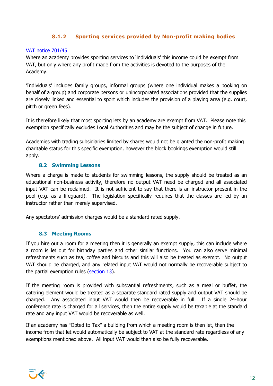## **8.1.2 Sporting services provided by Non-profit making bodies**

#### VAT notice 701/45

Where an academy provides sporting services to 'individuals' this income could be exempt from VAT, but only where any profit made from the activities is devoted to the purposes of the Academy.

'Individuals' includes family groups, informal groups (where one individual makes a booking on behalf of a group) and corporate persons or unincorporated associations provided that the supplies are closely linked and essential to sport which includes the provision of a playing area (e.g. court, pitch or green fees).

It is therefore likely that most sporting lets by an academy are exempt from VAT. Please note this exemption specifically excludes Local Authorities and may be the subject of change in future.

Academies with trading subsidiaries limited by shares would not be granted the non-profit making charitable status for this specific exemption, however the block bookings exemption would still apply.

#### **8.2 Swimming Lessons**

Where a charge is made to students for swimming lessons, the supply should be treated as an educational non-business activity, therefore no output VAT need be charged and all associated input VAT can be reclaimed. It is not sufficient to say that there is an instructor present in the pool (e.g. as a lifeguard). The legislation specifically requires that the classes are led by an instructor rather than merely supervised.

Any spectators' admission charges would be a standard rated supply.

## **8.3 Meeting Rooms**

If you hire out a room for a meeting then it is generally an exempt supply, this can include where a room is let out for birthday parties and other similar functions. You can also serve minimal refreshments such as tea, coffee and biscuits and this will also be treated as exempt. No output VAT should be charged, and any related input VAT would not normally be recoverable subject to the partial exemption rules (section 13).

If the meeting room is provided with substantial refreshments, such as a meal or buffet, the catering element would be treated as a separate standard rated supply and output VAT should be charged. Any associated input VAT would then be recoverable in full. If a single 24-hour conference rate is charged for all services, then the entire supply would be taxable at the standard rate and any input VAT would be recoverable as well.

If an academy has "Opted to Tax" a building from which a meeting room is then let, then the income from that let would automatically be subject to VAT at the standard rate regardless of any exemptions mentioned above. All input VAT would then also be fully recoverable.

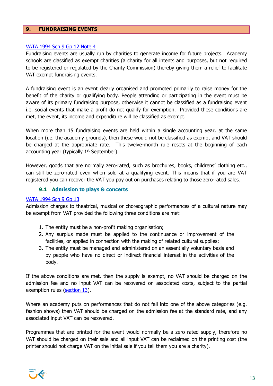#### **9. FUNDRAISING EVENTS**

#### VATA 1994 Sch 9 Gp 12 Note 4

Fundraising events are usually run by charities to generate income for future projects. Academy schools are classified as exempt charities (a charity for all intents and purposes, but not required to be registered or regulated by the Charity Commission) thereby giving them a relief to facilitate VAT exempt fundraising events.

A fundraising event is an event clearly organised and promoted primarily to raise money for the benefit of the charity or qualifying body. People attending or participating in the event must be aware of its primary fundraising purpose, otherwise it cannot be classified as a fundraising event i.e. social events that make a profit do not qualify for exemption. Provided these conditions are met, the event, its income and expenditure will be classified as exempt.

When more than 15 fundraising events are held within a single accounting year, at the same location (i.e. the academy grounds), then these would not be classified as exempt and VAT should be charged at the appropriate rate. This twelve-month rule resets at the beginning of each accounting year (typically  $1<sup>st</sup>$  September).

However, goods that are normally zero-rated, such as brochures, books, childrens' clothing etc., can still be zero-rated even when sold at a qualifying event. This means that if you are VAT registered you can recover the VAT you pay out on purchases relating to those zero-rated sales.

## **9.1 Admission to plays & concerts**

#### VATA 1994 Sch 9 Gp 13

Admission charges to theatrical, musical or choreographic performances of a cultural nature may be exempt from VAT provided the following three conditions are met:

- 1. The entity must be a non-profit making organisation;
- 2. Any surplus made must be applied to the continuance or improvement of the facilities, or applied in connection with the making of related cultural supplies;
- 3. The entity must be managed and administered on an essentially voluntary basis and by people who have no direct or indirect financial interest in the activities of the body.

If the above conditions are met, then the supply is exempt, no VAT should be charged on the admission fee and no input VAT can be recovered on associated costs, subject to the partial exemption rules (section 13).

Where an academy puts on performances that do not fall into one of the above categories (e.g. fashion shows) then VAT should be charged on the admission fee at the standard rate, and any associated input VAT can be recovered.

Programmes that are printed for the event would normally be a zero rated supply, therefore no VAT should be charged on their sale and all input VAT can be reclaimed on the printing cost (the printer should not charge VAT on the initial sale if you tell them you are a charity).

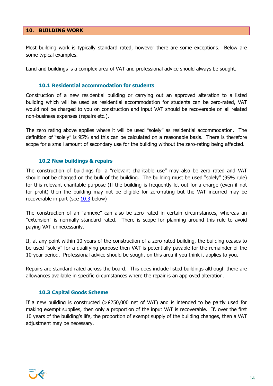#### **10. BUILDING WORK**

Most building work is typically standard rated, however there are some exceptions. Below are some typical examples.

Land and buildings is a complex area of VAT and professional advice should always be sought.

#### **10.1 Residential accommodation for students**

Construction of a new residential building or carrying out an approved alteration to a listed building which will be used as residential accommodation for students can be zero-rated, VAT would not be charged to you on construction and input VAT should be recoverable on all related non-business expenses (repairs etc.).

The zero rating above applies where it will be used "solely" as residential accommodation. The definition of "solely" is 95% and this can be calculated on a reasonable basis. There is therefore scope for a small amount of secondary use for the building without the zero-rating being affected.

#### **10.2 New buildings & repairs**

The construction of buildings for a "relevant charitable use" may also be zero rated and VAT should not be charged on the bulk of the building. The building must be used "solely" (95% rule) for this relevant charitable purpose (If the building is frequently let out for a charge (even if not for profit) then the building may not be eligible for zero-rating but the VAT incurred may be recoverable in part (see  $10.3$  below)

The construction of an "annexe" can also be zero rated in certain circumstances, whereas an "extension" is normally standard rated. There is scope for planning around this rule to avoid paying VAT unnecessarily.

If, at any point within 10 years of the construction of a zero rated building, the building ceases to be used "solely" for a qualifying purpose then VAT is potentially payable for the remainder of the 10-year period. Professional advice should be sought on this area if you think it applies to you.

Repairs are standard rated across the board. This does include listed buildings although there are allowances available in specific circumstances where the repair is an approved alteration.

#### **10.3 Capital Goods Scheme**

If a new building is constructed  $(>=E250,000$  net of VAT) and is intended to be partly used for making exempt supplies, then only a proportion of the input VAT is recoverable. If, over the first 10 years of the building's life, the proportion of exempt supply of the building changes, then a VAT adjustment may be necessary.

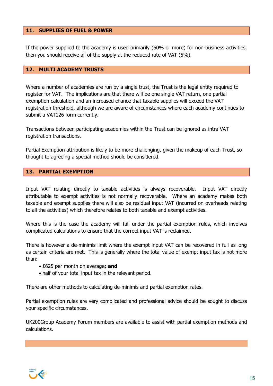#### **11. SUPPLIES OF FUEL & POWER**

If the power supplied to the academy is used primarily (60% or more) for non-business activities, then you should receive all of the supply at the reduced rate of VAT (5%).

#### **12. MULTI ACADEMY TRUSTS**

Where a number of academies are run by a single trust, the Trust is the legal entity required to register for VAT. The implications are that there will be one single VAT return, one partial exemption calculation and an increased chance that taxable supplies will exceed the VAT registration threshold, although we are aware of circumstances where each academy continues to submit a VAT126 form currently.

Transactions between participating academies within the Trust can be ignored as intra VAT registration transactions.

Partial Exemption attribution is likely to be more challenging, given the makeup of each Trust, so thought to agreeing a special method should be considered.

#### **13. PARTIAL EXEMPTION**

Input VAT relating directly to taxable activities is always recoverable. Input VAT directly attributable to exempt activities is not normally recoverable. Where an academy makes both taxable and exempt supplies there will also be residual input VAT (incurred on overheads relating to all the activities) which therefore relates to both taxable and exempt activities.

Where this is the case the academy will fall under the partial exemption rules, which involves complicated calculations to ensure that the correct input VAT is reclaimed.

There is however a de-minimis limit where the exempt input VAT can be recovered in full as long as certain criteria are met. This is generally where the total value of exempt input tax is not more than:

- £625 per month on average; **and**
- half of your total input tax in the relevant period.

There are other methods to calculating de-minimis and partial exemption rates.

Partial exemption rules are very complicated and professional advice should be sought to discuss your specific circumstances.

UK200Group Academy Forum members are available to assist with partial exemption methods and calculations.